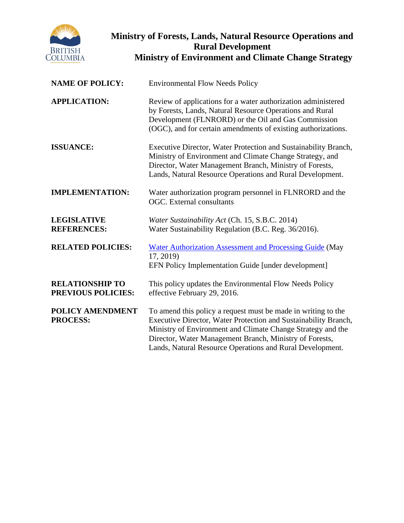

# **Ministry of Forests, Lands, Natural Resource Operations and Rural Development Ministry of Environment and Climate Change Strategy**

| <b>NAME OF POLICY:</b>                              | <b>Environmental Flow Needs Policy</b>                                                                                                                                                                                                                                                                                  |  |
|-----------------------------------------------------|-------------------------------------------------------------------------------------------------------------------------------------------------------------------------------------------------------------------------------------------------------------------------------------------------------------------------|--|
| <b>APPLICATION:</b>                                 | Review of applications for a water authorization administered<br>by Forests, Lands, Natural Resource Operations and Rural<br>Development (FLNRORD) or the Oil and Gas Commission<br>(OGC), and for certain amendments of existing authorizations.                                                                       |  |
| <b>ISSUANCE:</b>                                    | Executive Director, Water Protection and Sustainability Branch,<br>Ministry of Environment and Climate Change Strategy, and<br>Director, Water Management Branch, Ministry of Forests,<br>Lands, Natural Resource Operations and Rural Development.                                                                     |  |
| <b>IMPLEMENTATION:</b>                              | Water authorization program personnel in FLNRORD and the<br><b>OGC.</b> External consultants                                                                                                                                                                                                                            |  |
| <b>LEGISLATIVE</b><br><b>REFERENCES:</b>            | Water Sustainability Act (Ch. 15, S.B.C. 2014)<br>Water Sustainability Regulation (B.C. Reg. 36/2016).                                                                                                                                                                                                                  |  |
| <b>RELATED POLICIES:</b>                            | <b>Water Authorization Assessment and Processing Guide (May</b><br>17, 2019)<br>EFN Policy Implementation Guide [under development]                                                                                                                                                                                     |  |
| <b>RELATIONSHIP TO</b><br><b>PREVIOUS POLICIES:</b> | This policy updates the Environmental Flow Needs Policy<br>effective February 29, 2016.                                                                                                                                                                                                                                 |  |
| <b>POLICY AMENDMENT</b><br><b>PROCESS:</b>          | To amend this policy a request must be made in writing to the<br>Executive Director, Water Protection and Sustainability Branch,<br>Ministry of Environment and Climate Change Strategy and the<br>Director, Water Management Branch, Ministry of Forests,<br>Lands, Natural Resource Operations and Rural Development. |  |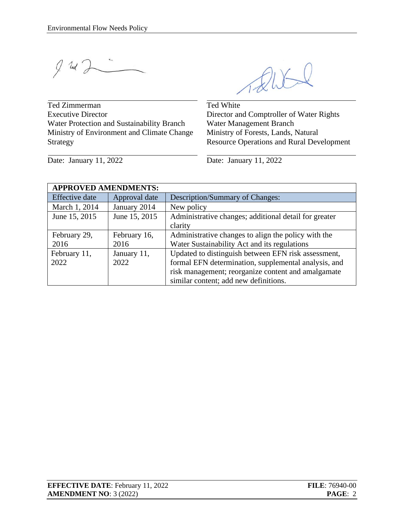$9.24$ 

Ted Zimmerman Executive Director Water Protection and Sustainability Branch Ministry of Environment and Climate Change Strategy

RUS

Ted White Director and Comptroller of Water Rights Water Management Branch Ministry of Forests, Lands, Natural Resource Operations and Rural Development

Date: January 11, 2022 Date: January 11, 2022

| <b>APPROVED AMENDMENTS:</b> |               |                                                       |  |  |  |
|-----------------------------|---------------|-------------------------------------------------------|--|--|--|
| <b>Effective</b> date       | Approval date | Description/Summary of Changes:                       |  |  |  |
| March 1, 2014               | January 2014  | New policy                                            |  |  |  |
| June 15, 2015               | June 15, 2015 | Administrative changes; additional detail for greater |  |  |  |
|                             |               | clarity                                               |  |  |  |
| February 29,                | February 16,  | Administrative changes to align the policy with the   |  |  |  |
| 2016                        | 2016          | Water Sustainability Act and its regulations          |  |  |  |
| February 11,                | January 11,   | Updated to distinguish between EFN risk assessment,   |  |  |  |
| 2022                        | 2022          | formal EFN determination, supplemental analysis, and  |  |  |  |
|                             |               | risk management; reorganize content and amalgamate    |  |  |  |
|                             |               | similar content; add new definitions.                 |  |  |  |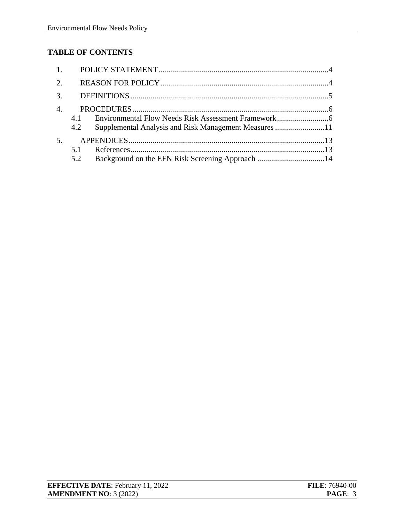# **TABLE OF CONTENTS**

| 2.               |     |                                                       |  |
|------------------|-----|-------------------------------------------------------|--|
|                  |     |                                                       |  |
| $\overline{4}$ . |     |                                                       |  |
|                  | 4.1 |                                                       |  |
|                  | 4.2 | Supplemental Analysis and Risk Management Measures 11 |  |
| 5 <sub>1</sub>   |     |                                                       |  |
|                  | 5.1 |                                                       |  |
|                  | 5.2 |                                                       |  |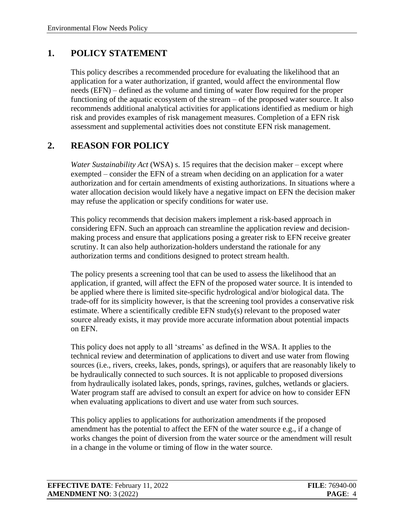### <span id="page-3-0"></span>**1. POLICY STATEMENT**

This policy describes a recommended procedure for evaluating the likelihood that an application for a water authorization, if granted, would affect the environmental flow needs (EFN) – defined as the volume and timing of water flow required for the proper functioning of the aquatic ecosystem of the stream – of the proposed water source. It also recommends additional analytical activities for applications identified as medium or high risk and provides examples of risk management measures. Completion of a EFN risk assessment and supplemental activities does not constitute EFN risk management.

### <span id="page-3-1"></span>**2. REASON FOR POLICY**

*Water Sustainability Act* (WSA) s. 15 requires that the decision maker – except where exempted – consider the EFN of a stream when deciding on an application for a water authorization and for certain amendments of existing authorizations. In situations where a water allocation decision would likely have a negative impact on EFN the decision maker may refuse the application or specify conditions for water use.

This policy recommends that decision makers implement a risk-based approach in considering EFN. Such an approach can streamline the application review and decisionmaking process and ensure that applications posing a greater risk to EFN receive greater scrutiny. It can also help authorization-holders understand the rationale for any authorization terms and conditions designed to protect stream health.

The policy presents a screening tool that can be used to assess the likelihood that an application, if granted, will affect the EFN of the proposed water source. It is intended to be applied where there is limited site-specific hydrological and/or biological data. The trade-off for its simplicity however, is that the screening tool provides a conservative risk estimate. Where a scientifically credible EFN study(s) relevant to the proposed water source already exists, it may provide more accurate information about potential impacts on EFN.

This policy does not apply to all 'streams' as defined in the WSA. It applies to the technical review and determination of applications to divert and use water from flowing sources (i.e., rivers, creeks, lakes, ponds, springs), or aquifers that are reasonably likely to be hydraulically connected to such sources. It is not applicable to proposed diversions from hydraulically isolated lakes, ponds, springs, ravines, gulches, wetlands or glaciers. Water program staff are advised to consult an expert for advice on how to consider EFN when evaluating applications to divert and use water from such sources.

This policy applies to applications for authorization amendments if the proposed amendment has the potential to affect the EFN of the water source e.g., if a change of works changes the point of diversion from the water source or the amendment will result in a change in the volume or timing of flow in the water source.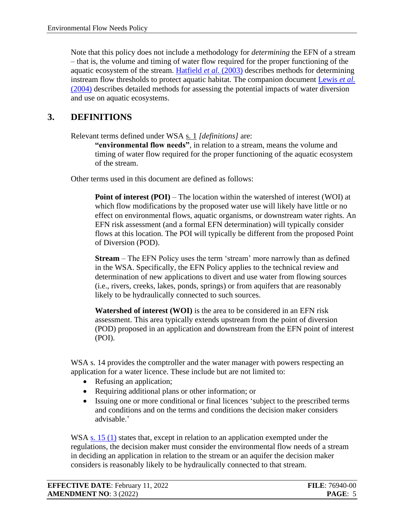Note that this policy does not include a methodology for *determining* the EFN of a stream – that is, the volume and timing of water flow required for the proper functioning of the aquatic ecosystem of the stream. [Hatfield](http://www.env.gov.bc.ca/wld/documents/bmp/phase2_instreamflow_thresholds_guidelines.pdf) *et al.* (2003) describes methods for determining instream flow thresholds to protect aquatic habitat. The companion document [Lewis](http://www.env.gov.bc.ca/wld/documents/bmp/assessment_methods_instreamflow_in_bc.pdf) *et al.* [\(2004\)](http://www.env.gov.bc.ca/wld/documents/bmp/assessment_methods_instreamflow_in_bc.pdf) describes detailed methods for assessing the potential impacts of water diversion and use on aquatic ecosystems.

### <span id="page-4-0"></span>**3. DEFINITIONS**

Relevant terms defined under WSA [s. 1](http://www.bclaws.ca/civix/document/id/complete/statreg/14015#section1) *[definitions]* are:

**"environmental flow needs"**, in relation to a stream, means the volume and timing of water flow required for the proper functioning of the aquatic ecosystem of the stream.

Other terms used in this document are defined as follows:

**Point of interest (POI)** – The location within the watershed of interest (WOI) at which flow modifications by the proposed water use will likely have little or no effect on environmental flows, aquatic organisms, or downstream water rights. An EFN risk assessment (and a formal EFN determination) will typically consider flows at this location. The POI will typically be different from the proposed Point of Diversion (POD).

**Stream** – The EFN Policy uses the term 'stream' more narrowly than as defined in the WSA. Specifically, the EFN Policy applies to the technical review and determination of new applications to divert and use water from flowing sources (i.e., rivers, creeks, lakes, ponds, springs) or from aquifers that are reasonably likely to be hydraulically connected to such sources.

**Watershed of interest (WOI)** is the area to be considered in an EFN risk assessment. This area typically extends upstream from the point of diversion (POD) proposed in an application and downstream from the EFN point of interest (POI).

WSA s. 14 provides the comptroller and the water manager with powers respecting an application for a water licence. These include but are not limited to:

- Refusing an application;
- Requiring additional plans or other information; or
- Issuing one or more conditional or final licences 'subject to the prescribed terms and conditions and on the terms and conditions the decision maker considers advisable.'

WSA s. [15 \(1\)](https://www.bclaws.gov.bc.ca/civix/document/id/complete/statreg/14015#section15) states that, except in relation to an application exempted under the regulations, the decision maker must consider the environmental flow needs of a stream in deciding an application in relation to the stream or an aquifer the decision maker considers is reasonably likely to be hydraulically connected to that stream.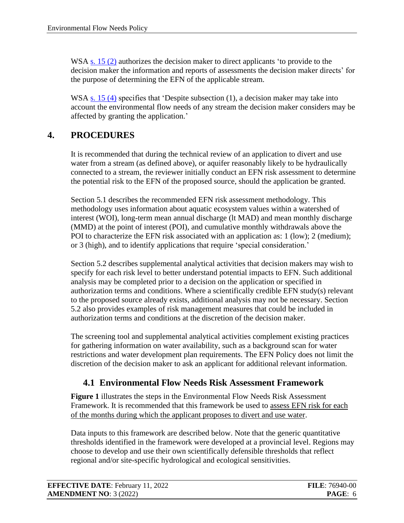WSA [s. 15 \(2\)](https://www.bclaws.gov.bc.ca/civix/document/id/complete/statreg/14015#section15) authorizes the decision maker to direct applicants 'to provide to the decision maker the information and reports of assessments the decision maker directs' for the purpose of determining the EFN of the applicable stream.

WSA  $\underline{s}$ . 15 (4) specifies that 'Despite subsection (1), a decision maker may take into account the environmental flow needs of any stream the decision maker considers may be affected by granting the application.'

### <span id="page-5-0"></span>**4. PROCEDURES**

It is recommended that during the technical review of an application to divert and use water from a stream (as defined above), or aquifer reasonably likely to be hydraulically connected to a stream, the reviewer initially conduct an EFN risk assessment to determine the potential risk to the EFN of the proposed source, should the application be granted.

Section 5.1 describes the recommended EFN risk assessment methodology. This methodology uses information about aquatic ecosystem values within a watershed of interest (WOI), long-term mean annual discharge (lt MAD) and mean monthly discharge (MMD) at the point of interest (POI), and cumulative monthly withdrawals above the POI to characterize the EFN risk associated with an application as: 1 (low); 2 (medium); or 3 (high), and to identify applications that require 'special consideration.'

Section 5.2 describes supplemental analytical activities that decision makers may wish to specify for each risk level to better understand potential impacts to EFN. Such additional analysis may be completed prior to a decision on the application or specified in authorization terms and conditions. Where a scientifically credible EFN study(s) relevant to the proposed source already exists, additional analysis may not be necessary. Section 5.2 also provides examples of risk management measures that could be included in authorization terms and conditions at the discretion of the decision maker.

The screening tool and supplemental analytical activities complement existing practices for gathering information on water availability, such as a background scan for water restrictions and water development plan requirements. The EFN Policy does not limit the discretion of the decision maker to ask an applicant for additional relevant information.

## <span id="page-5-1"></span>**4.1 Environmental Flow Needs Risk Assessment Framework**

**Figure 1** illustrates the steps in the Environmental Flow Needs Risk Assessment Framework. It is recommended that this framework be used to assess EFN risk for each of the months during which the applicant proposes to divert and use water.

Data inputs to this framework are described below. Note that the generic quantitative thresholds identified in the framework were developed at a provincial level. Regions may choose to develop and use their own scientifically defensible thresholds that reflect regional and/or site-specific hydrological and ecological sensitivities.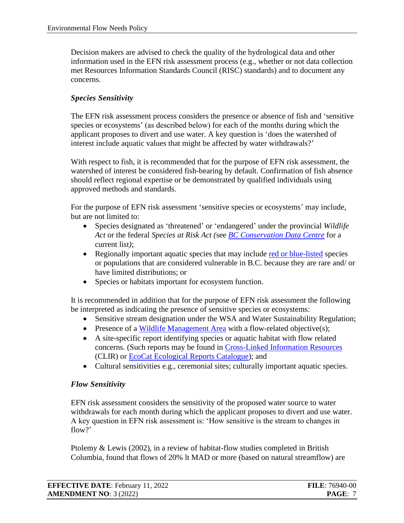Decision makers are advised to check the quality of the hydrological data and other information used in the EFN risk assessment process (e.g., whether or not data collection met Resources Information Standards Council (RISC) standards) and to document any concerns.

#### *Species Sensitivity*

The EFN risk assessment process considers the presence or absence of fish and 'sensitive species or ecosystems' (as described below) for each of the months during which the applicant proposes to divert and use water. A key question is 'does the watershed of interest include aquatic values that might be affected by water withdrawals?'

With respect to fish, it is recommended that for the purpose of EFN risk assessment, the watershed of interest be considered fish-bearing by default. Confirmation of fish absence should reflect regional expertise or be demonstrated by qualified individuals using approved methods and standards.

For the purpose of EFN risk assessment 'sensitive species or ecosystems' may include, but are not limited to:

- Species designated as 'threatened' or 'endangered' under the provincial *Wildlife Act* or the federal *Species at Risk Act (*see *[BC Conservation Data Centre](https://www2.gov.bc.ca/gov/content/environment/plants-animals-ecosystems/conservation-data-centre)* for a current list*)*;
- Regionally important aquatic species that may include [red or blue-listed](https://www2.gov.bc.ca/gov/content/environment/plants-animals-ecosystems/conservation-data-centre/explore-cdc-data/red-blue-yellow-lists) species or populations that are considered vulnerable in B.C. because they are rare and/ or have limited distributions; or
- Species or habitats important for ecosystem function.

It is recommended in addition that for the purpose of EFN risk assessment the following be interpreted as indicating the presence of sensitive species or ecosystems:

- Sensitive stream designation under the WSA and Water Sustainability Regulation;
- Presence of a [Wildlife Management Area](https://www2.gov.bc.ca/gov/content/environment/plants-animals-ecosystems/wildlife/wildlife-habitats/conservation-lands/wma#:~:text=Wildlife Management Areas are part of the Conservation,available in the list of wildlife management areas.) with a flow-related objective(s);
- A site-specific report identifying species or aquatic habitat with flow related concerns. (Such reports may be found in [Cross-Linked Information Resources](https://www2.gov.bc.ca/gov/content/environment/research-monitoring-reporting/libraries-publication-catalogues/cross-linked-information-resources-clir) (CLIR) or [EcoCat Ecological Reports Catalogue\)](https://www2.gov.bc.ca/gov/content/environment/research-monitoring-reporting/libraries-publication-catalogues/ecocat); and
- Cultural sensitivities e.g., ceremonial sites; culturally important aquatic species.

#### *Flow Sensitivity*

EFN risk assessment considers the sensitivity of the proposed water source to water withdrawals for each month during which the applicant proposes to divert and use water. A key question in EFN risk assessment is: 'How sensitive is the stream to changes in flow?'

Ptolemy & Lewis (2002), in a review of habitat-flow studies completed in British Columbia, found that flows of 20% lt MAD or more (based on natural streamflow) are

| <b>EFFECTIVE DATE: February 11, 2022</b> | <b>FILE: 76940-00</b> |
|------------------------------------------|-----------------------|
| <b>AMENDMENT NO: 3 (2022)</b>            | PAGE: 7               |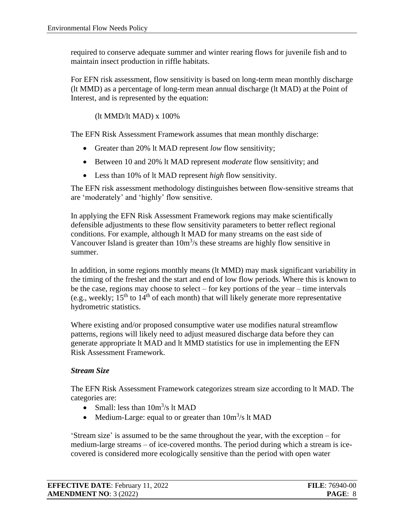required to conserve adequate summer and winter rearing flows for juvenile fish and to maintain insect production in riffle habitats.

For EFN risk assessment, flow sensitivity is based on long-term mean monthly discharge (lt MMD) as a percentage of long-term mean annual discharge (lt MAD) at the Point of Interest, and is represented by the equation:

(lt MMD/lt MAD) x 100%

The EFN Risk Assessment Framework assumes that mean monthly discharge:

- Greater than 20% It MAD represent *low* flow sensitivity;
- Between 10 and 20% lt MAD represent *moderate* flow sensitivity; and
- Less than 10% of lt MAD represent *high* flow sensitivity.

The EFN risk assessment methodology distinguishes between flow-sensitive streams that are 'moderately' and 'highly' flow sensitive.

In applying the EFN Risk Assessment Framework regions may make scientifically defensible adjustments to these flow sensitivity parameters to better reflect regional conditions. For example, although lt MAD for many streams on the east side of Vancouver Island is greater than  $10m<sup>3</sup>/s$  these streams are highly flow sensitive in summer.

In addition, in some regions monthly means (lt MMD) may mask significant variability in the timing of the freshet and the start and end of low flow periods. Where this is known to be the case, regions may choose to select – for key portions of the year – time intervals (e.g., weekly;  $15<sup>th</sup>$  to  $14<sup>th</sup>$  of each month) that will likely generate more representative hydrometric statistics.

Where existing and/or proposed consumptive water use modifies natural streamflow patterns, regions will likely need to adjust measured discharge data before they can generate appropriate lt MAD and lt MMD statistics for use in implementing the EFN Risk Assessment Framework.

#### *Stream Size*

The EFN Risk Assessment Framework categorizes stream size according to lt MAD. The categories are:

- Small: less than  $10m^3/s$  lt MAD
- Medium-Large: equal to or greater than  $10m^3/s$  lt MAD

'Stream size' is assumed to be the same throughout the year, with the exception – for medium-large streams – of ice-covered months. The period during which a stream is icecovered is considered more ecologically sensitive than the period with open water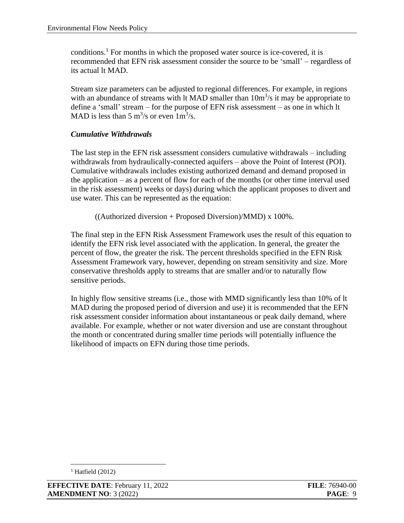conditions.<sup>1</sup> For months in which the proposed water source is ice-covered, it is recommended that EFN risk assessment consider the source to be 'small' – regardless of its actual lt MAD.

Stream size parameters can be adjusted to regional differences. For example, in regions with an abundance of streams with  $\mu$  MAD smaller than  $10m^3/s$  it may be appropriate to define a 'small' stream – for the purpose of EFN risk assessment – as one in which lt MAD is less than 5 m<sup>3</sup>/s or even  $1m^3/s$ .

### *Cumulative Withdrawals*

The last step in the EFN risk assessment considers cumulative withdrawals – including withdrawals from hydraulically-connected aquifers – above the Point of Interest (POI). Cumulative withdrawals includes existing authorized demand and demand proposed in the application – as a percent of flow for each of the months (or other time interval used in the risk assessment) weeks or days) during which the applicant proposes to divert and use water. This can be represented as the equation:

 $((\text{Authorizontal})\times 100\%$ .

The final step in the EFN Risk Assessment Framework uses the result of this equation to identify the EFN risk level associated with the application. In general, the greater the percent of flow, the greater the risk. The percent thresholds specified in the EFN Risk Assessment Framework vary, however, depending on stream sensitivity and size. More conservative thresholds apply to streams that are smaller and/or to naturally flow sensitive periods.

In highly flow sensitive streams (i.e., those with MMD significantly less than 10% of lt MAD during the proposed period of diversion and use) it is recommended that the EFN risk assessment consider information about instantaneous or peak daily demand, where available. For example, whether or not water diversion and use are constant throughout the month or concentrated during smaller time periods will potentially influence the likelihood of impacts on EFN during those time periods.

 $<sup>1</sup>$  Hatfield (2012)</sup>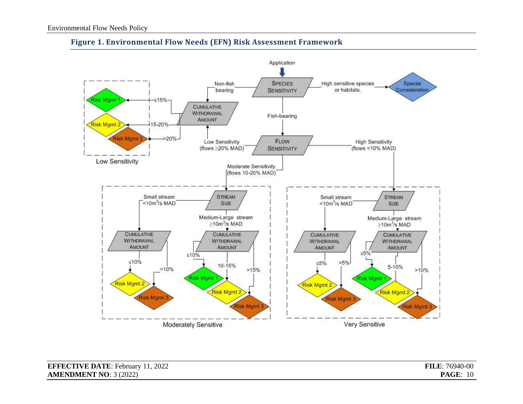

#### **Figure 1. Environmental Flow Needs (EFN) Risk Assessment Framework**

| <b>EFFECTIVE DATE: February 11, 2022</b> | <b>FILE: 76940-00</b> |
|------------------------------------------|-----------------------|
| <b>AMENDMENT NO: 3 (2022)</b>            | <b>PAGE: 10</b>       |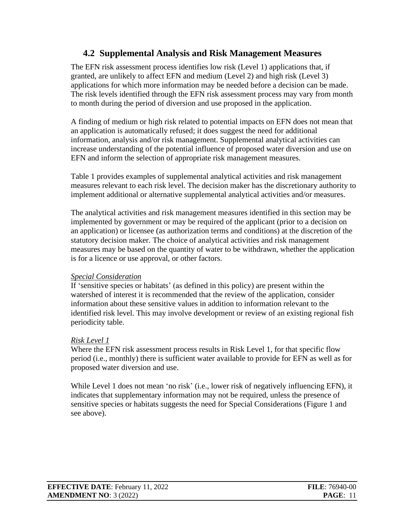### <span id="page-10-0"></span>**4.2 Supplemental Analysis and Risk Management Measures**

The EFN risk assessment process identifies low risk (Level 1) applications that, if granted, are unlikely to affect EFN and medium (Level 2) and high risk (Level 3) applications for which more information may be needed before a decision can be made. The risk levels identified through the EFN risk assessment process may vary from month to month during the period of diversion and use proposed in the application.

A finding of medium or high risk related to potential impacts on EFN does not mean that an application is automatically refused; it does suggest the need for additional information, analysis and/or risk management. Supplemental analytical activities can increase understanding of the potential influence of proposed water diversion and use on EFN and inform the selection of appropriate risk management measures.

Table 1 provides examples of supplemental analytical activities and risk management measures relevant to each risk level. The decision maker has the discretionary authority to implement additional or alternative supplemental analytical activities and/or measures.

The analytical activities and risk management measures identified in this section may be implemented by government or may be required of the applicant (prior to a decision on an application) or licensee (as authorization terms and conditions) at the discretion of the statutory decision maker. The choice of analytical activities and risk management measures may be based on the quantity of water to be withdrawn, whether the application is for a licence or use approval, or other factors.

#### *Special Consideration*

If 'sensitive species or habitats' (as defined in this policy) are present within the watershed of interest it is recommended that the review of the application, consider information about these sensitive values in addition to information relevant to the identified risk level. This may involve development or review of an existing regional fish periodicity table.

### *Risk Level 1*

Where the EFN risk assessment process results in Risk Level 1, for that specific flow period (i.e., monthly) there is sufficient water available to provide for EFN as well as for proposed water diversion and use.

While Level 1 does not mean 'no risk' (i.e., lower risk of negatively influencing EFN), it indicates that supplementary information may not be required, unless the presence of sensitive species or habitats suggests the need for Special Considerations (Figure 1 and see above).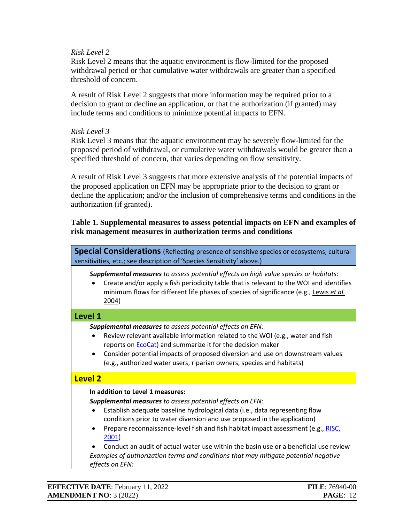#### *Risk Level 2*

Risk Level 2 means that the aquatic environment is flow-limited for the proposed withdrawal period or that cumulative water withdrawals are greater than a specified threshold of concern.

A result of Risk Level 2 suggests that more information may be required prior to a decision to grant or decline an application, or that the authorization (if granted) may include terms and conditions to minimize potential impacts to EFN.

#### *Risk Level 3*

Risk Level 3 means that the aquatic environment may be severely flow-limited for the proposed period of withdrawal, or cumulative water withdrawals would be greater than a specified threshold of concern, that varies depending on flow sensitivity.

A result of Risk Level 3 suggests that more extensive analysis of the potential impacts of the proposed application on EFN may be appropriate prior to the decision to grant or decline the application; and/or the inclusion of comprehensive terms and conditions in the authorization (if granted).

#### **Table 1. Supplemental measures to assess potential impacts on EFN and examples of risk management measures in authorization terms and conditions**

**Special Considerations** (Reflecting presence of sensitive species or ecosystems, cultural sensitivities, etc.; see description of 'Species Sensitivity' above.)

*Supplemental measures to assess potential effects on high value species or habitats:*

• Create and/or apply a fish periodicity table that is relevant to the WOI and identifies minimum flows for different life phases of species of significance (e.g.[, Lewis](http://www.env.gov.bc.ca/wld/documents/bmp/assessment_methods_instreamflow_in_bc.pdf) *et al.* [2004\)](http://www.env.gov.bc.ca/wld/documents/bmp/assessment_methods_instreamflow_in_bc.pdf)

#### **Level 1**

*Supplemental measures to assess potential effects on EFN:*

- Review relevant available information related to the WOI (e.g., water and fish reports o[n EcoCat\)](https://a100.gov.bc.ca/pub/acat/public/welcome.do) and summarize it for the decision maker
- Consider potential impacts of proposed diversion and use on downstream values (e.g., authorized water users, riparian owners, species and habitats)

### **Level 2**

#### **In addition to Level 1 measures:**

*Supplemental measures to assess potential effects on EFN:*

- Establish adequate baseline hydrological data (i.e., data representing flow conditions prior to water diversion and use proposed in the application)
- Prepare reconnaissance-level fish and fish habitat impact assessment (e.g., RISC, [2001\)](https://www2.gov.bc.ca/assets/gov/environment/natural-resource-stewardship/nr-laws-policy/risc/recce2c.pdf)

• Conduct an audit of actual water use within the basin use or a beneficial use review

*Examples of authorization terms and conditions that may mitigate potential negative effects on EFN:*

| <b>EFFECTIVE DATE:</b> February 11, 2022 | <b>FILE: 76940-00</b> |
|------------------------------------------|-----------------------|
| <b>AMENDMENT NO: 3 (2022)</b>            | <b>PAGE: 12</b>       |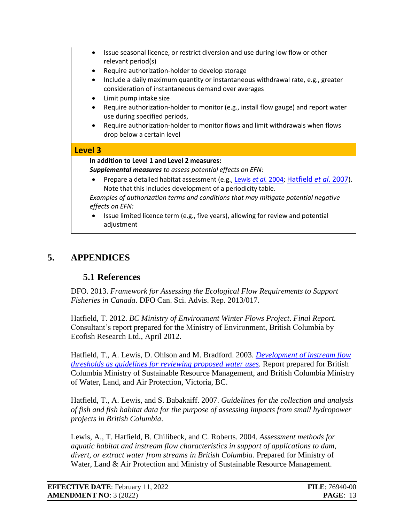- Issue seasonal licence, or restrict diversion and use during low flow or other relevant period(s)
- Require authorization-holder to develop storage
- Include a daily maximum quantity or instantaneous withdrawal rate, e.g., greater consideration of instantaneous demand over averages
- Limit pump intake size
- Require authorization-holder to monitor (e.g., install flow gauge) and report water use during specified periods,
- Require authorization-holder to monitor flows and limit withdrawals when flows drop below a certain level

#### **Level 3**

**In addition to Level 1 and Level 2 measures:**

*Supplemental measures to assess potential effects on EFN:*

• Prepare a detailed habitat assessment (e.g., [Lewis](http://www.env.gov.bc.ca/wld/documents/bmp/assessment_methods_instreamflow_in_bc.pdf) *et al.* 2004; [Hatfield](http://www.env.gov.bc.ca/wld/documents/bmp/guidelinesIFRv5_2.pdf) *et al*. 2007). Note that this includes development of a periodicity table.

*Examples of authorization terms and conditions that may mitigate potential negative effects on EFN:*

• Issue limited licence term (e.g., five years), allowing for review and potential adjustment

# <span id="page-12-0"></span>**5. APPENDICES**

### <span id="page-12-1"></span>**5.1 References**

DFO. 2013. *Framework for Assessing the Ecological Flow Requirements to Support Fisheries in Canada*. DFO Can. Sci. Advis. Rep. 2013/017.

Hatfield, T. 2012. *BC Ministry of Environment Winter Flows Project*. *Final Report.* Consultant's report prepared for the Ministry of Environment, British Columbia by Ecofish Research Ltd., April 2012.

Hatfield, T., A. Lewis, D. Ohlson and M. Bradford. 2003. *[Development of instream flow](http://www.env.gov.bc.ca/wld/documents/bmp/phase2_instreamflow_thresholds_guidelines.pdf) [thresholds as guidelines for reviewing proposed water uses.](http://www.env.gov.bc.ca/wld/documents/bmp/phase2_instreamflow_thresholds_guidelines.pdf)* Report prepared for British Columbia Ministry of Sustainable Resource Management, and British Columbia Ministry of Water, Land, and Air Protection, Victoria, BC.

Hatfield, T., A. Lewis, and S. Babakaiff. 2007. *Guidelines for the collection and analysis of fish and fish habitat data for the purpose of assessing impacts from small hydropower projects in British Columbia*.

Lewis, A., T. Hatfield, B. Chilibeck, and C. Roberts. 2004. *Assessment methods for aquatic habitat and instream flow characteristics in support of applications to dam, divert, or extract water from streams in British Columbia*. Prepared for Ministry of Water, Land & Air Protection and Ministry of Sustainable Resource Management.